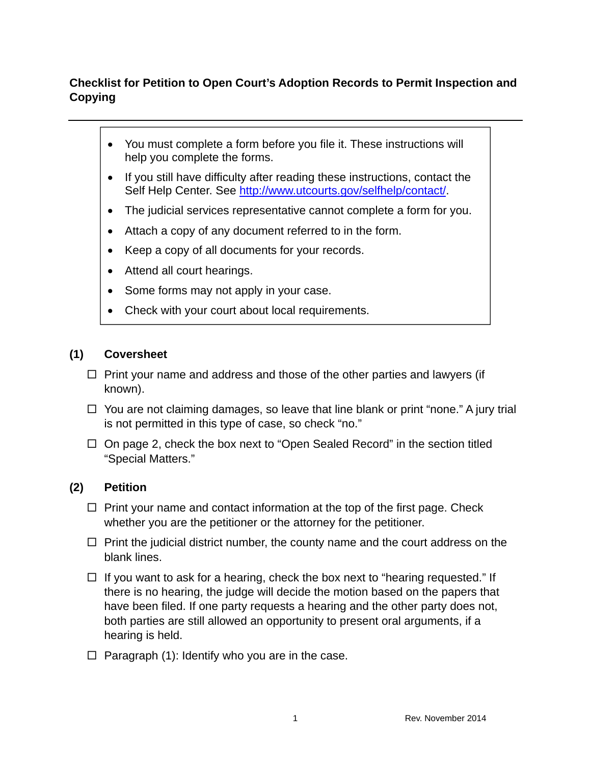# **Checklist for Petition to Open Court's Adoption Records to Permit Inspection and Copying**

- You must complete a form before you file it. These instructions will help you complete the forms.
- If you still have difficulty after reading these instructions, contact the Self Help Center. See http://www.utcourts.gov/selfhelp/contact/.
- The judicial services representative cannot complete a form for you.
- Attach a copy of any document referred to in the form.
- Keep a copy of all documents for your records.
- Attend all court hearings.
- Some forms may not apply in your case.
- Check with your court about local requirements.

#### **(1) Coversheet**

- $\Box$  Print your name and address and those of the other parties and lawyers (if known).
- $\Box$  You are not claiming damages, so leave that line blank or print "none." A jury trial is not permitted in this type of case, so check "no."
- $\Box$  On page 2, check the box next to "Open Sealed Record" in the section titled "Special Matters."

#### **(2) Petition**

- $\Box$  Print your name and contact information at the top of the first page. Check whether you are the petitioner or the attorney for the petitioner.
- $\Box$  Print the judicial district number, the county name and the court address on the blank lines.
- $\Box$  If you want to ask for a hearing, check the box next to "hearing requested." If there is no hearing, the judge will decide the motion based on the papers that have been filed. If one party requests a hearing and the other party does not, both parties are still allowed an opportunity to present oral arguments, if a hearing is held.
- $\Box$  Paragraph (1): Identify who you are in the case.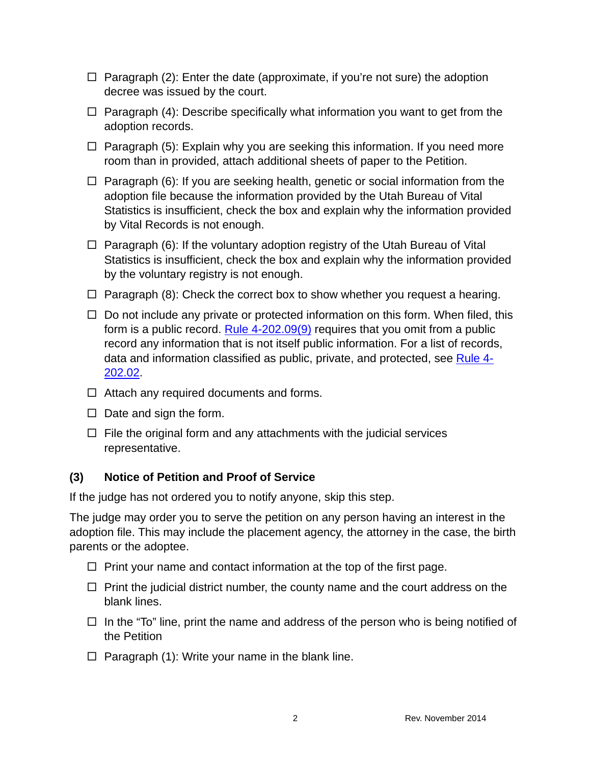- $\Box$  Paragraph (2): Enter the date (approximate, if you're not sure) the adoption decree was issued by the court.
- $\Box$  Paragraph (4): Describe specifically what information you want to get from the adoption records.
- $\Box$  Paragraph (5): Explain why you are seeking this information. If you need more room than in provided, attach additional sheets of paper to the Petition.
- $\Box$  Paragraph (6): If you are seeking health, genetic or social information from the adoption file because the information provided by the Utah Bureau of Vital Statistics is insufficient, check the box and explain why the information provided by Vital Records is not enough.
- $\Box$  Paragraph (6): If the voluntary adoption registry of the Utah Bureau of Vital Statistics is insufficient, check the box and explain why the information provided by the voluntary registry is not enough.
- $\Box$  Paragraph (8): Check the correct box to show whether you request a hearing.
- $\Box$  Do not include any private or protected information on this form. When filed, this form is a public record. Rule  $4-202.09(9)$  requires that you omit from a public record any information that is not itself public information. For a list of records, data and information classified as public, private, and protected, see Rule 4- 202.02.
- $\Box$  Attach any required documents and forms.
- $\Box$  Date and sign the form.
- $\Box$  File the original form and any attachments with the judicial services representative.

### **(3) Notice of Petition and Proof of Service**

If the judge has not ordered you to notify anyone, skip this step.

The judge may order you to serve the petition on any person having an interest in the adoption file. This may include the placement agency, the attorney in the case, the birth parents or the adoptee.

- $\Box$  Print your name and contact information at the top of the first page.
- $\Box$  Print the judicial district number, the county name and the court address on the blank lines.
- $\Box$  In the "To" line, print the name and address of the person who is being notified of the Petition
- $\Box$  Paragraph (1): Write your name in the blank line.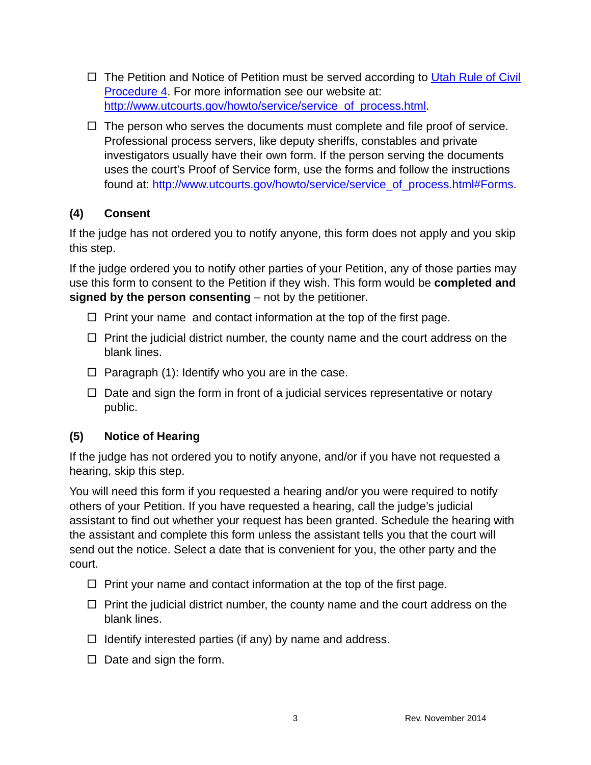- $\Box$  The Petition and Notice of Petition must be served according to Utah Rule of Civil Procedure 4. For more information see our website at: http://www.utcourts.gov/howto/service/service\_of\_process.html.
- $\Box$  The person who serves the documents must complete and file proof of service. Professional process servers, like deputy sheriffs, constables and private investigators usually have their own form. If the person serving the documents uses the court's Proof of Service form, use the forms and follow the instructions found at: http://www.utcourts.gov/howto/service/service\_of\_process.html#Forms.

## **(4) Consent**

If the judge has not ordered you to notify anyone, this form does not apply and you skip this step.

If the judge ordered you to notify other parties of your Petition, any of those parties may use this form to consent to the Petition if they wish. This form would be **completed and signed by the person consenting** – not by the petitioner.

- $\Box$  Print your name and contact information at the top of the first page.
- $\Box$  Print the judicial district number, the county name and the court address on the blank lines.
- $\Box$  Paragraph (1): Identify who you are in the case.
- $\Box$  Date and sign the form in front of a judicial services representative or notary public.

### **(5) Notice of Hearing**

If the judge has not ordered you to notify anyone, and/or if you have not requested a hearing, skip this step.

You will need this form if you requested a hearing and/or you were required to notify others of your Petition. If you have requested a hearing, call the judge's judicial assistant to find out whether your request has been granted. Schedule the hearing with the assistant and complete this form unless the assistant tells you that the court will send out the notice. Select a date that is convenient for you, the other party and the court.

- $\Box$  Print your name and contact information at the top of the first page.
- $\Box$  Print the judicial district number, the county name and the court address on the blank lines.
- $\Box$  Identify interested parties (if any) by name and address.
- $\Box$  Date and sign the form.